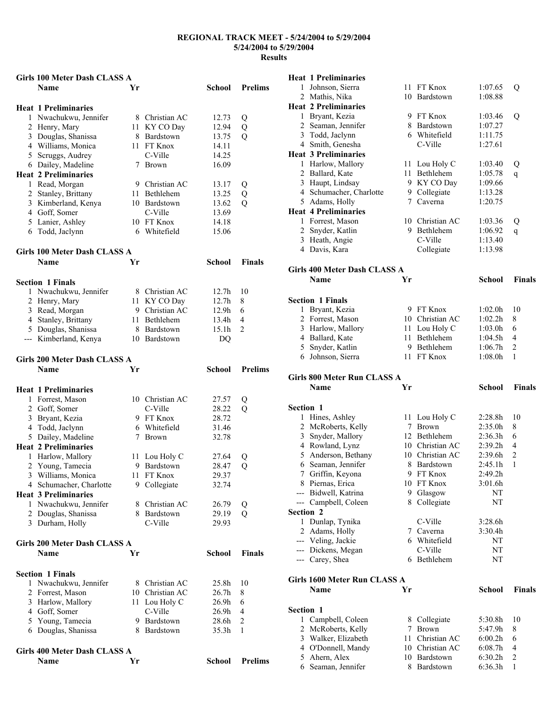|   | Girls 100 Meter Dash CLASS A           |     |                 |                   |                     |
|---|----------------------------------------|-----|-----------------|-------------------|---------------------|
|   | <b>Name</b>                            | Yr  |                 | School            | <b>Prelims</b>      |
|   |                                        |     |                 |                   |                     |
|   | <b>Heat 1 Preliminaries</b>            |     |                 |                   |                     |
|   | 1 Nwachukwu, Jennifer                  |     | 8 Christian AC  | 12.73             | Q                   |
|   | 2 Henry, Mary                          | 11  | KY CO Day       | 12.94             | Q                   |
|   | 3 Douglas, Shanissa                    |     | 8 Bardstown     | 13.75             | $\overline{Q}$      |
|   | 4 Williams, Monica                     |     | 11 FT Knox      | 14.11             |                     |
|   | 5 Scruggs, Audrey                      |     | C-Ville         | 14.25             |                     |
|   | 6 Dailey, Madeline                     | 7   | <b>Brown</b>    | 16.09             |                     |
|   | <b>Heat 2 Preliminaries</b>            |     |                 |                   |                     |
|   | 1 Read, Morgan                         |     | 9 Christian AC  | 13.17             | Q                   |
|   | 2 Stanley, Brittany                    |     | 11 Bethlehem    | 13.25             | Q                   |
|   | 3 Kimberland, Kenya                    |     | 10 Bardstown    | 13.62             | $\overline{Q}$      |
|   | 4 Goff, Somer                          |     | C-Ville         | 13.69             |                     |
|   | 5 Lanier, Ashley                       |     | 10 FT Knox      | 14.18             |                     |
|   | 6 Todd, Jaclynn                        |     | 6 Whitefield    | 15.06             |                     |
|   | Girls 100 Meter Dash CLASS A           |     |                 |                   |                     |
|   | <b>Name</b>                            | Yr  |                 | School            | <b>Finals</b>       |
|   | <b>Section 1 Finals</b>                |     |                 |                   |                     |
|   | 1 Nwachukwu, Jennifer                  |     | 8 Christian AC  | 12.7 <sub>h</sub> | 10                  |
|   | 2 Henry, Mary                          | 11  | KY CO Day       | 12.7 <sub>h</sub> | 8                   |
|   | 3 Read, Morgan                         |     | 9 Christian AC  | 12.9h             | 6                   |
|   | 4 Stanley, Brittany                    | 11  | Bethlehem       | 13.4h             | 4                   |
|   | 5 Douglas, Shanissa                    |     | 8 Bardstown     | 15.1h             | $\overline{2}$      |
|   | --- Kimberland, Kenya                  |     | 10 Bardstown    |                   |                     |
|   |                                        |     |                 | DQ                |                     |
|   | Girls 200 Meter Dash CLASS A           |     |                 |                   |                     |
|   | <b>Name</b>                            | Yr  |                 | School            | <b>Prelims</b>      |
|   | <b>Heat 1 Preliminaries</b>            |     |                 |                   |                     |
|   | 1 Forrest, Mason                       |     | 10 Christian AC | 27.57             | Q                   |
|   | 2 Goff, Somer                          |     | C-Ville         | 28.22             | Q                   |
|   | 3 Bryant, Kezia                        |     | 9 FT Knox       | 28.72             |                     |
|   | 4 Todd, Jaclynn                        |     | 6 Whitefield    | 31.46             |                     |
|   | 5 Dailey, Madeline                     |     | 7 Brown         | 32.78             |                     |
|   | <b>Heat 2 Preliminaries</b>            |     |                 |                   |                     |
|   | 1 Harlow, Mallory                      | 11  | Lou Holy C      | 27.64             |                     |
| 2 | Young, Tamecia                         | 9   | Bardstown       | 28.47             | Q<br>Q              |
|   | 3 Williams, Monica                     | 11  | FT Knox         | 29.37             |                     |
|   | 4 Schumacher, Charlotte                |     | 9 Collegiate    | 32.74             |                     |
|   | <b>Heat 3 Preliminaries</b>            |     |                 |                   |                     |
|   |                                        | 8   | Christian AC    | 26.79             |                     |
|   | 1 Nwachukwu, Jennifer                  |     | 8 Bardstown     |                   | Q<br>$\overline{O}$ |
|   | 2 Douglas, Shanissa<br>3 Durham, Holly |     | C-Ville         | 29.19<br>29.93    |                     |
|   |                                        |     |                 |                   |                     |
|   | Girls 200 Meter Dash CLASS A           |     |                 |                   |                     |
|   | Name                                   | Yr  |                 | <b>School</b>     | Finals              |
|   | <b>Section 1 Finals</b>                |     |                 |                   |                     |
| 1 | Nwachukwu, Jennifer                    |     | 8 Christian AC  | 25.8h             | 10                  |
|   | 2 Forrest, Mason                       |     | 10 Christian AC | 26.7h             | 8                   |
|   | 3 Harlow, Mallory                      | 11- | Lou Holy C      | 26.9h             | 6                   |
|   | 4 Goff, Somer                          |     | C-Ville         | 26.9h             | 4                   |
|   | 5 Young, Tamecia                       |     | 9 Bardstown     | 28.6h             | 2                   |
|   | 6 Douglas, Shanissa                    |     | 8 Bardstown     | 35.3h             | 1                   |
|   |                                        |     |                 |                   |                     |
|   | Girls 400 Meter Dash CLASS A<br>Name   | Yr  |                 | School            | <b>Prelims</b>      |
|   |                                        |     |                 |                   |                     |

|                             | <b>Heat 1 Preliminaries</b>              |                 |                                    |                     |                     |  |
|-----------------------------|------------------------------------------|-----------------|------------------------------------|---------------------|---------------------|--|
|                             | 1 Johnson, Sierra                        |                 | 11 FT Knox                         | 1:07.65             | Q                   |  |
| 2                           | Mathis, Nika                             |                 | 10 Bardstown                       | 1:08.88             |                     |  |
|                             | <b>Heat 2 Preliminaries</b>              |                 |                                    |                     |                     |  |
|                             | 1 Bryant, Kezia                          |                 | 9 FT Knox                          | 1:03.46             | Q                   |  |
|                             | 2 Seaman, Jennifer                       |                 | 8 Bardstown                        | 1:07.27             |                     |  |
|                             | 3 Todd, Jaclynn                          |                 | 6 Whitefield                       | 1:11.75             |                     |  |
|                             | 4 Smith, Genesha                         |                 | C-Ville                            | 1:27.61             |                     |  |
|                             | <b>Heat 3 Preliminaries</b>              |                 |                                    |                     |                     |  |
|                             | 1 Harlow, Mallory                        | 11 -            | Lou Holy C                         | 1:03.40             | Q                   |  |
|                             | 2 Ballard, Kate                          |                 | 11 Bethlehem                       | 1:05.78             | q                   |  |
|                             | 3 Haupt, Lindsay                         |                 | 9 KY CO Day                        | 1:09.66             |                     |  |
|                             | 4 Schumacher, Charlotte                  |                 | 9 Collegiate                       | 1:13.28             |                     |  |
|                             | 5 Adams, Holly                           | 7               | Caverna                            | 1:20.75             |                     |  |
|                             | <b>Heat 4 Preliminaries</b>              |                 |                                    |                     |                     |  |
|                             | 1 Forrest, Mason                         |                 | 10 Christian AC                    | 1:03.36             | Q                   |  |
|                             | 2 Snyder, Katlin                         |                 | 9 Bethlehem                        | 1:06.92             | q                   |  |
|                             | 3 Heath, Angie                           |                 | C-Ville                            | 1:13.40             |                     |  |
|                             | 4 Davis, Kara                            |                 | Collegiate                         | 1:13.98             |                     |  |
|                             |                                          |                 |                                    |                     |                     |  |
|                             | Girls 400 Meter Dash CLASS A             |                 |                                    |                     |                     |  |
|                             | Name                                     | Yr              |                                    | School              | <b>Finals</b>       |  |
|                             | <b>Section 1 Finals</b>                  |                 |                                    |                     |                     |  |
| 1                           | Bryant, Kezia                            |                 | 9 FT Knox                          | 1:02.0h             | 10                  |  |
|                             | 2 Forrest, Mason                         |                 | 10 Christian AC                    | 1:02.2h             | 8                   |  |
|                             | 3 Harlow, Mallory                        |                 | 11 Lou Holy C                      | 1:03.0h             | 6                   |  |
|                             | 4 Ballard, Kate                          |                 | 11 Bethlehem                       | 1:04.5h             | 4                   |  |
|                             | 5 Snyder, Katlin                         |                 | 9 Bethlehem                        | 1:06.7 <sub>h</sub> | $\overline{2}$      |  |
|                             | 6 Johnson, Sierra                        | 11              | FT Knox                            | 1:08.0h             | 1                   |  |
|                             |                                          |                 |                                    |                     |                     |  |
| Girls 800 Meter Run CLASS A |                                          |                 |                                    |                     |                     |  |
|                             |                                          |                 |                                    |                     |                     |  |
|                             | Name                                     | Yr              |                                    | <b>School</b>       | <b>Finals</b>       |  |
|                             |                                          |                 |                                    |                     |                     |  |
| <b>Section 1</b>            |                                          |                 |                                    |                     |                     |  |
| 1                           | Hines, Ashley                            |                 | 11 Lou Holy C                      | 2:28.8h             | 10                  |  |
|                             | 2 McRoberts, Kelly                       | $7\phantom{.0}$ | <b>Brown</b>                       | 2:35.0h             | 8                   |  |
|                             | 3 Snyder, Mallory                        |                 | 12 Bethlehem                       | 2:36.3h             | 6<br>4              |  |
|                             | 4 Rowland, Lynz                          |                 | 10 Christian AC<br>10 Christian AC | 2:39.2h<br>2:39.6h  | 2                   |  |
|                             | 5 Anderson, Bethany                      | 8               | Bardstown                          | 2:45.1h             | 1                   |  |
| 7                           | 6 Seaman, Jennifer                       | 9               |                                    |                     |                     |  |
|                             | Griffin, Keyona                          |                 | FT Knox<br>10 FT Knox              | 2:49.2h<br>3:01.6h  |                     |  |
|                             | 8 Piernas, Erica<br>--- Bidwell, Katrina |                 | 9 Glasgow                          | NT                  |                     |  |
|                             | --- Campbell, Coleen                     | 8               | Collegiate                         | NT                  |                     |  |
| Section 2                   |                                          |                 |                                    |                     |                     |  |
|                             | 1 Dunlap, Tynika                         |                 | C-Ville                            | 3:28.6h             |                     |  |
|                             | 2 Adams, Holly                           |                 | 7 Caverna                          | 3:30.4h             |                     |  |
|                             | --- Veling, Jackie                       |                 | 6 Whitefield                       | NT                  |                     |  |
|                             | --- Dickens, Megan                       |                 | C-Ville                            | NT                  |                     |  |
|                             | --- Carey, Shea                          |                 | 6 Bethlehem                        | NΤ                  |                     |  |
|                             |                                          |                 |                                    |                     |                     |  |
|                             | Girls 1600 Meter Run CLASS A             |                 |                                    |                     |                     |  |
|                             | Name                                     | Yr              |                                    | <b>School</b>       | <b>Finals</b>       |  |
| Section 1                   |                                          |                 |                                    |                     |                     |  |
|                             | 1 Campbell, Coleen                       | 8               | Collegiate                         | 5:30.8h             | 10                  |  |
|                             | 2 McRoberts, Kelly                       | $7^{\circ}$     | <b>Brown</b>                       | 5:47.9h             | 8                   |  |
|                             | 3 Walker, Elizabeth                      | 11 -            | Christian AC                       | 6:00.2h             | 6                   |  |
|                             | 4 O'Donnell, Mandy                       |                 | 10 Christian AC                    | 6:08.7h             | 4                   |  |
|                             | 5 Ahern, Alex<br>6 Seaman, Jennifer      |                 | 10 Bardstown<br>Bardstown          | 6:30.2h<br>6:36.3h  | $\overline{c}$<br>1 |  |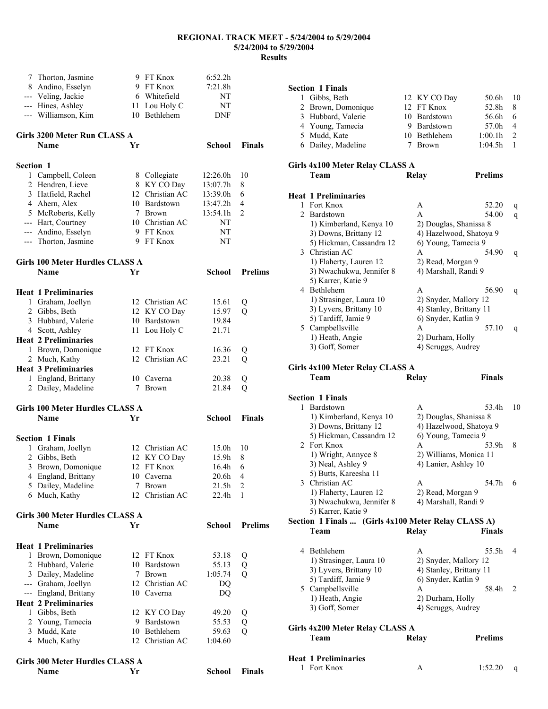|                  | 7 Thorton, Jasmine<br>8 Andino, Esselyn<br>--- Veling, Jackie<br>--- Hines, Ashley<br>--- Williamson, Kim |    | 9 FT Knox<br>9 FT Knox<br>6 Whitefield<br>11 Lou Holy C<br>10 Bethlehem | 6:52.2h<br>7:21.8h<br>NΤ<br>NT<br>DNF |                |
|------------------|-----------------------------------------------------------------------------------------------------------|----|-------------------------------------------------------------------------|---------------------------------------|----------------|
|                  | Girls 3200 Meter Run CLASS A<br>Name                                                                      | Yr |                                                                         | <b>School</b>                         | <b>Finals</b>  |
| <b>Section 1</b> |                                                                                                           |    |                                                                         |                                       |                |
|                  | 1 Campbell, Coleen                                                                                        |    | 8 Collegiate                                                            | 12:26.0h                              | 10             |
|                  | 2 Hendren, Lieve                                                                                          |    | 8 KY CO Day                                                             | 13:07.7h                              | 8              |
|                  | 3 Hatfield, Rachel                                                                                        |    | 12 Christian AC                                                         | 13:39.0h                              | 6              |
|                  | 4 Ahern, Alex                                                                                             |    | 10 Bardstown                                                            | 13:47.2h                              | 4              |
|                  | 5 McRoberts, Kelly                                                                                        |    | 7 Brown                                                                 | 13:54.1h                              | 2              |
|                  | --- Hart, Courtney                                                                                        |    | 10 Christian AC                                                         | NΤ                                    |                |
|                  | --- Andino, Esselyn                                                                                       |    | 9 FT Knox                                                               | NΤ                                    |                |
|                  | --- Thorton, Jasmine                                                                                      |    | 9 FT Knox                                                               | NΤ                                    |                |
|                  |                                                                                                           |    |                                                                         |                                       |                |
|                  | <b>Girls 100 Meter Hurdles CLASS A</b><br><b>Name</b>                                                     | Yr |                                                                         | School                                | <b>Prelims</b> |
|                  |                                                                                                           |    |                                                                         |                                       |                |
|                  | <b>Heat 1 Preliminaries</b>                                                                               |    |                                                                         |                                       |                |
|                  | 1 Graham, Joellyn                                                                                         |    | 12 Christian AC                                                         | 15.61                                 | Q              |
|                  | 2 Gibbs, Beth                                                                                             | 12 | KY CO Day                                                               | 15.97                                 | Q              |
|                  | 3 Hubbard, Valerie                                                                                        |    | 10 Bardstown                                                            | 19.84                                 |                |
|                  | 4 Scott, Ashley                                                                                           |    | 11 Lou Holy C                                                           | 21.71                                 |                |
|                  | <b>Heat 2 Preliminaries</b>                                                                               |    |                                                                         |                                       |                |
|                  | 1 Brown, Domonique                                                                                        |    | 12 FT Knox                                                              | 16.36                                 | Q              |
|                  | 2 Much, Kathy                                                                                             |    | 12 Christian AC                                                         | 23.21                                 | Q              |
|                  | <b>Heat 3 Preliminaries</b>                                                                               |    |                                                                         |                                       |                |
|                  | 1 England, Brittany                                                                                       |    | 10 Caverna                                                              | 20.38                                 | Q              |
|                  | 2 Dailey, Madeline                                                                                        |    | 7 Brown                                                                 | 21.84                                 | Q              |
|                  | <b>Girls 100 Meter Hurdles CLASS A</b>                                                                    |    |                                                                         |                                       |                |
|                  | <b>Name</b>                                                                                               | Yr |                                                                         | School                                | <b>Finals</b>  |
|                  | <b>Section 1 Finals</b>                                                                                   |    |                                                                         |                                       |                |
|                  | 1 Graham, Joellyn                                                                                         |    | 12 Christian AC                                                         | 15.0h                                 | 10             |
|                  | 2 Gibbs, Beth                                                                                             |    | 12 KY CO Day                                                            | 15.9h                                 | 8              |
|                  | 3 Brown, Domonique                                                                                        |    | 12 FT Knox                                                              | 16.4h                                 | 6              |
|                  | 4 England, Brittany                                                                                       |    | 10 Caverna                                                              | 20.6h                                 | 4              |
|                  | 5 Dailey, Madeline                                                                                        | 7  | <b>Brown</b>                                                            | 21.5h                                 | $\overline{c}$ |
|                  | 6 Much, Kathy                                                                                             |    | 12 Christian AC                                                         | 22.4h                                 | 1              |
|                  |                                                                                                           |    |                                                                         |                                       |                |
|                  | <b>Girls 300 Meter Hurdles CLASS A</b>                                                                    |    |                                                                         |                                       |                |
|                  | <b>Name</b>                                                                                               | Yr |                                                                         | <b>School</b>                         | <b>Prelims</b> |
|                  | <b>Heat 1 Preliminaries</b>                                                                               |    |                                                                         |                                       |                |
|                  | 1 Brown, Domonique                                                                                        |    | 12 FT Knox                                                              | 53.18                                 | Q              |
|                  | 2 Hubbard, Valerie                                                                                        | 10 | Bardstown                                                               | 55.13                                 | Q              |
|                  | 3 Dailey, Madeline                                                                                        | 7  | Brown                                                                   | 1:05.74                               | Q              |
|                  | --- Graham, Joellyn                                                                                       |    | 12 Christian AC                                                         | DQ                                    |                |
|                  | --- England, Brittany                                                                                     |    | 10 Caverna                                                              | DQ                                    |                |
|                  | <b>Heat 2 Preliminaries</b>                                                                               |    |                                                                         |                                       |                |
|                  | 1 Gibbs, Beth                                                                                             |    | 12 KY CO Day                                                            | 49.20                                 | Q              |
|                  | 2 Young, Tamecia                                                                                          |    | 9 Bardstown                                                             | 55.53                                 | Q              |
|                  | 3 Mudd, Kate                                                                                              |    | 10 Bethlehem                                                            | 59.63                                 | Q              |
|                  | 4 Much, Kathy                                                                                             |    | 12 Christian AC                                                         | 1:04.60                               |                |
|                  | Girls 300 Meter Hurdles CLASS A                                                                           |    |                                                                         |                                       |                |
|                  | Name                                                                                                      | Yr |                                                                         | School Finals                         |                |

| <b>Section 1 Finals</b>                                     |                          |                |                |
|-------------------------------------------------------------|--------------------------|----------------|----------------|
| 1 Gibbs, Beth                                               | 12 KY CO Day             | 50.6h          | 10             |
| 2 Brown, Domonique                                          | 12 FT Knox               | 52.8h          | 8              |
| 3 Hubbard, Valerie                                          | 10 Bardstown             | 56.6h          | 6              |
| 4 Young, Tamecia                                            | 9 Bardstown              | 57.0h          | 4              |
| 5 Mudd, Kate                                                | 10 Bethlehem             | 1:00.1h        | $\overline{c}$ |
| 6 Dailey, Madeline                                          | 7 Brown                  | 1:04.5h        | 1              |
| Girls 4x100 Meter Relay CLASS A                             |                          |                |                |
| Team                                                        | Relay                    | <b>Prelims</b> |                |
| <b>Heat 1 Preliminaries</b>                                 |                          |                |                |
| 1 Fort Knox                                                 | A                        | 52.20          | q              |
| 2 Bardstown                                                 | A                        | 54.00          | q              |
| 1) Kimberland, Kenya 10                                     | 2) Douglas, Shanissa 8   |                |                |
| 3) Downs, Brittany 12                                       | 4) Hazelwood, Shatoya 9  |                |                |
| 5) Hickman, Cassandra 12                                    | 6) Young, Tamecia 9      |                |                |
| 3 Christian AC                                              | A                        | 54.90          | q              |
| 1) Flaherty, Lauren 12                                      | 2) Read, Morgan 9        |                |                |
| 3) Nwachukwu, Jennifer 8                                    | 4) Marshall, Randi 9     |                |                |
| 5) Karrer, Katie 9<br>4 Bethlehem                           | A                        | 56.90          |                |
| 1) Strasinger, Laura 10                                     | 2) Snyder, Mallory 12    |                | q              |
| 3) Lyvers, Brittany 10                                      | 4) Stanley, Brittany 11  |                |                |
| 5) Tardiff, Jamie 9                                         | 6) Snyder, Katlin 9      |                |                |
| 5 Campbellsville                                            | A                        | 57.10          | q              |
| 1) Heath, Angie                                             | 2) Durham, Holly         |                |                |
| 3) Goff, Somer                                              | 4) Scruggs, Audrey       |                |                |
| Girls 4x100 Meter Relay CLASS A<br>Team                     | Relay                    | <b>Finals</b>  |                |
| <b>Section 1 Finals</b>                                     |                          |                |                |
| 1 Bardstown                                                 | A                        | 53.4h          | 10             |
| 1) Kimberland, Kenya 10                                     | 2) Douglas, Shanissa 8   |                |                |
| 3) Downs, Brittany 12                                       | 4) Hazelwood, Shatoya 9  |                |                |
| 5) Hickman, Cassandra 12<br>2 Fort Knox                     | 6) Young, Tamecia 9<br>A | 53.9h          | 8              |
| 1) Wright, Annyce 8                                         | 2) Williams, Monica 11   |                |                |
| 3) Neal, Ashley 9                                           | 4) Lanier, Ashley 10     |                |                |
| 5) Butts, Kareesha 11                                       |                          |                |                |
| 3 Christian AC                                              | A                        | 54.7h          | 6              |
| 1) Flaherty, Lauren 12                                      | 2) Read, Morgan 9        |                |                |
| 3) Nwachukwu, Jennifer 8                                    | 4) Marshall, Randi 9     |                |                |
| 5) Karrer, Katie 9                                          |                          |                |                |
| Section 1 Finals  (Girls 4x100 Meter Relay CLASS A)<br>Team | <b>Relay</b>             | <b>Finals</b>  |                |
|                                                             |                          |                |                |
| 4 Bethlehem                                                 | A                        | 55.5h          | $\overline{4}$ |
| 1) Strasinger, Laura 10                                     | 2) Snyder, Mallory 12    |                |                |
| 3) Lyvers, Brittany 10                                      | 4) Stanley, Brittany 11  |                |                |
| 5) Tardiff, Jamie 9                                         | 6) Snyder, Katlin 9      |                |                |
| 5 Campbellsville                                            | A                        | 58.4h          | 2              |
| 1) Heath, Angie                                             | 2) Durham, Holly         |                |                |
| 3) Goff, Somer                                              | 4) Scruggs, Audrey       |                |                |
| Girls 4x200 Meter Relay CLASS A                             |                          |                |                |
| Team                                                        | <b>Relay</b>             | <b>Prelims</b> |                |
|                                                             |                          |                |                |
| <b>Heat 1 Preliminaries</b><br><b>Fort Knox</b><br>1        | A                        | 1:52.20        | q              |
|                                                             |                          |                |                |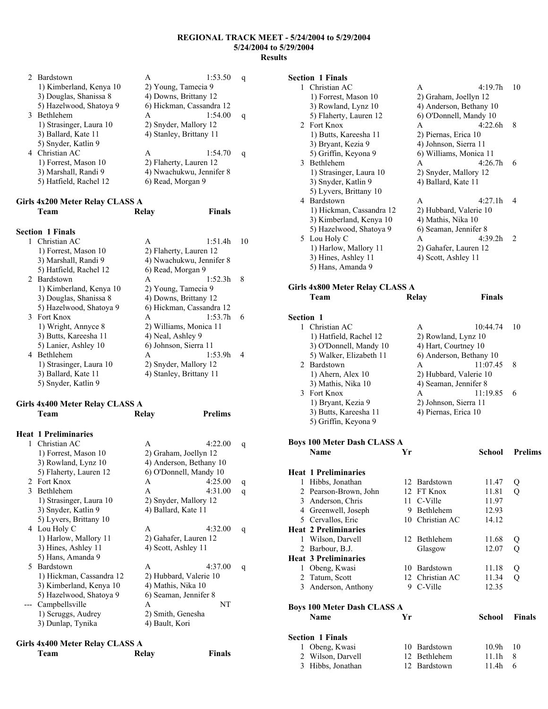| 2. Bardstown            | А                        | 1:53.50 | q |
|-------------------------|--------------------------|---------|---|
| 1) Kimberland, Kenya 10 | 2) Young, Tamecia 9      |         |   |
| 3) Douglas, Shanissa 8  | 4) Downs, Brittany 12    |         |   |
| 5) Hazelwood, Shatoya 9 | 6) Hickman, Cassandra 12 |         |   |
| 3 Bethlehem             | A                        | 1:54.00 | q |
| 1) Strasinger, Laura 10 | 2) Snyder, Mallory 12    |         |   |
| 3) Ballard, Kate 11     | 4) Stanley, Brittany 11  |         |   |
| 5) Snyder, Katlin 9     |                          |         |   |
| 4 Christian AC          | A                        | 1:54.70 | q |
| 1) Forrest, Mason 10    | 2) Flaherty, Lauren 12   |         |   |
| 3) Marshall, Randi 9    | 4) Nwachukwu, Jennifer 8 |         |   |
| 5) Hatfield, Rachel 12  | 6) Read, Morgan 9        |         |   |
|                         |                          |         |   |

## **Girls 4x200 Meter Relay CLASS A**

| Relay | Finals  |                                                                                                                                                                                                                                                                                 |
|-------|---------|---------------------------------------------------------------------------------------------------------------------------------------------------------------------------------------------------------------------------------------------------------------------------------|
|       |         |                                                                                                                                                                                                                                                                                 |
| A     | 1:51.4h | 10                                                                                                                                                                                                                                                                              |
|       |         |                                                                                                                                                                                                                                                                                 |
|       |         |                                                                                                                                                                                                                                                                                 |
|       |         |                                                                                                                                                                                                                                                                                 |
| A     | 1:52.3h | 8                                                                                                                                                                                                                                                                               |
|       |         |                                                                                                                                                                                                                                                                                 |
|       |         |                                                                                                                                                                                                                                                                                 |
|       |         |                                                                                                                                                                                                                                                                                 |
| A     | 1:53.7h | 6                                                                                                                                                                                                                                                                               |
|       |         |                                                                                                                                                                                                                                                                                 |
|       |         |                                                                                                                                                                                                                                                                                 |
|       |         |                                                                                                                                                                                                                                                                                 |
| A     | 1:53.9h | 4                                                                                                                                                                                                                                                                               |
|       |         |                                                                                                                                                                                                                                                                                 |
|       |         |                                                                                                                                                                                                                                                                                 |
|       |         |                                                                                                                                                                                                                                                                                 |
|       |         | 2) Flaherty, Lauren 12<br>4) Nwachukwu, Jennifer 8<br>6) Read, Morgan 9<br>2) Young, Tamecia 9<br>4) Downs, Brittany 12<br>6) Hickman, Cassandra 12<br>2) Williams, Monica 11<br>4) Neal, Ashley 9<br>6) Johnson, Sierra 11<br>2) Snyder, Mallory 12<br>4) Stanley, Brittany 11 |

#### **Girls 4x400 Meter Relay CLASS A Team Relay Prelims**

| <b>Heat 1 Preliminaries</b> |                         |              |
|-----------------------------|-------------------------|--------------|
| 1 Christian AC              | A                       | 4:22.00<br>q |
| 1) Forrest, Mason 10        | 2) Graham, Joellyn 12   |              |
| 3) Rowland, Lynz 10         | 4) Anderson, Bethany 10 |              |
| 5) Flaherty, Lauren 12      | 6) O'Donnell, Mandy 10  |              |
| 2 Fort Knox                 | A                       | 4:25.00<br>q |
| 3 Bethlehem                 | A                       | 4:31.00<br>q |
| 1) Strasinger, Laura 10     | 2) Snyder, Mallory 12   |              |
| 3) Snyder, Katlin 9         | 4) Ballard, Kate 11     |              |
| 5) Lyvers, Brittany 10      |                         |              |
| 4 Lou Holy C                | A                       | 4:32.00<br>q |
| 1) Harlow, Mallory 11       | 2) Gahafer, Lauren 12   |              |
| 3) Hines, Ashley 11         | 4) Scott, Ashley 11     |              |
| 5) Hans, Amanda 9           |                         |              |
| 5 Bardstown                 | A                       | 4:37.00<br>q |
| 1) Hickman, Cassandra 12    | 2) Hubbard, Valerie 10  |              |
| 3) Kimberland, Kenya 10     | 4) Mathis, Nika 10      |              |
| 5) Hazelwood, Shatoya 9     | 6) Seaman, Jennifer 8   |              |
| Campbellsville              | A                       | NT           |
| 1) Scruggs, Audrey          | 2) Smith, Genesha       |              |
| 3) Dunlap, Tynika           | 4) Bault, Kori          |              |
|                             |                         |              |

#### **Girls 4x400 Meter Relay CLASS A**

| Team | Relay | <b>Finals</b> |
|------|-------|---------------|
|      |       |               |

### **Section 1 Finals**

|                  | 1 Christian AC                     |      | A                       | 4:19.7h           | 10             |
|------------------|------------------------------------|------|-------------------------|-------------------|----------------|
|                  | 1) Forrest, Mason 10               |      | 2) Graham, Joellyn 12   |                   |                |
|                  | 3) Rowland, Lynz 10                |      | 4) Anderson, Bethany 10 |                   |                |
|                  | 5) Flaherty, Lauren 12             |      | 6) O'Donnell, Mandy 10  |                   |                |
|                  | 2 Fort Knox                        |      | A                       | 4:22.6h           | 8              |
|                  | 1) Butts, Kareesha 11              |      | 2) Piernas, Erica 10    |                   |                |
|                  | 3) Bryant, Kezia 9                 |      | 4) Johnson, Sierra 11   |                   |                |
|                  | 5) Griffin, Keyona 9               |      | 6) Williams, Monica 11  |                   |                |
|                  | 3 Bethlehem                        |      | A                       | 4:26.7h           | 6              |
|                  | 1) Strasinger, Laura 10            |      | 2) Snyder, Mallory 12   |                   |                |
|                  | 3) Snyder, Katlin 9                |      | 4) Ballard, Kate 11     |                   |                |
|                  | 5) Lyvers, Brittany 10             |      |                         |                   |                |
|                  | 4 Bardstown                        |      | A                       | 4:27.1h           | $\overline{4}$ |
|                  | 1) Hickman, Cassandra 12           |      | 2) Hubbard, Valerie 10  |                   |                |
|                  | 3) Kimberland, Kenya 10            |      | 4) Mathis, Nika 10      |                   |                |
|                  | 5) Hazelwood, Shatoya 9            |      | 6) Seaman, Jennifer 8   |                   |                |
|                  | 5 Lou Holy C                       |      | A                       | 4:39.2h           | 2              |
|                  | 1) Harlow, Mallory 11              |      | 2) Gahafer, Lauren 12   |                   |                |
|                  | 3) Hines, Ashley 11                |      | 4) Scott, Ashley 11     |                   |                |
|                  | 5) Hans, Amanda 9                  |      |                         |                   |                |
|                  |                                    |      |                         |                   |                |
|                  | Girls 4x800 Meter Relay CLASS A    |      |                         |                   |                |
|                  | Team                               |      | <b>Relay</b>            | <b>Finals</b>     |                |
|                  |                                    |      |                         |                   |                |
| <b>Section 1</b> |                                    |      |                         |                   |                |
|                  | 1 Christian AC                     |      | A                       | 10:44.74          | 10             |
|                  | 1) Hatfield, Rachel 12             |      | 2) Rowland, Lynz 10     |                   |                |
|                  | 3) O'Donnell, Mandy 10             |      | 4) Hart, Courtney 10    |                   |                |
|                  | 5) Walker, Elizabeth 11            |      | 6) Anderson, Bethany 10 |                   |                |
|                  | 2 Bardstown                        |      | A                       | 11:07.45          | 8              |
|                  | 1) Ahern, Alex 10                  |      | 2) Hubbard, Valerie 10  |                   |                |
|                  | 3) Mathis, Nika 10                 |      | 4) Seaman, Jennifer 8   |                   |                |
|                  | 3 Fort Knox                        |      | A                       | 11:19.85          | 6              |
|                  | 1) Bryant, Kezia 9                 |      | 2) Johnson, Sierra 11   |                   |                |
|                  | 3) Butts, Kareesha 11              |      | 4) Piernas, Erica 10    |                   |                |
|                  | 5) Griffin, Keyona 9               |      |                         |                   |                |
|                  |                                    |      |                         |                   |                |
|                  | <b>Boys 100 Meter Dash CLASS A</b> |      |                         |                   |                |
|                  | Name                               | Yr   |                         | School            | <b>Prelims</b> |
|                  | <b>Heat 1 Preliminaries</b>        |      |                         |                   |                |
|                  | 1 Hibbs, Jonathan                  |      | 12 Bardstown            | 11.47             |                |
|                  | 2 Pearson-Brown, John              |      | 12 FT Knox              | 11.81             | Q<br>Q         |
|                  | 3 Anderson, Chris                  | 11 - | C-Ville                 | 11.97             |                |
|                  | 4 Greenwell, Joseph                |      | 9 Bethlehem             | 12.93             |                |
|                  | 5 Cervallos, Eric                  |      | 10 Christian AC         | 14.12             |                |
|                  | <b>Heat 2 Preliminaries</b>        |      |                         |                   |                |
|                  | 1 Wilson, Darvell                  |      | 12 Bethlehem            | 11.68             | Q              |
|                  | 2 Barbour, B.J.                    |      | Glasgow                 | 12.07             | Q              |
|                  | <b>Heat 3 Preliminaries</b>        |      |                         |                   |                |
|                  | 1 Obeng, Kwasi                     |      | 10 Bardstown            | 11.18             | Q              |
|                  | 2 Tatum, Scott                     | 12   | Christian AC            | 11.34             | Q              |
|                  | 3 Anderson, Anthony                |      | 9 C-Ville               | 12.35             |                |
|                  |                                    |      |                         |                   |                |
|                  | <b>Boys 100 Meter Dash CLASS A</b> |      |                         |                   |                |
|                  | Name                               | Yr   |                         | School            | Finals         |
|                  |                                    |      |                         |                   |                |
|                  | <b>Section 1 Finals</b>            |      |                         |                   |                |
| 1                | Obeng, Kwasi                       |      | 10 Bardstown            | 10.9 <sub>h</sub> | 10             |
|                  | 2 Wilson, Darvell                  |      | 12 Bethlehem            | 11.1h             | 8              |
|                  | 3 Hibbs, Jonathan                  |      | 12 Bardstown            | 11.4h             | 6              |

3 Hibbs, Jonathan 12 Bardstown 11.4h 6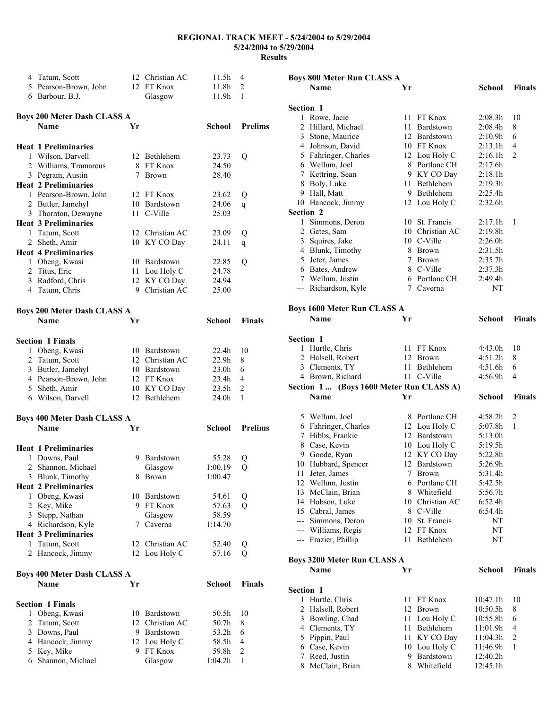|                | 4 Tatum, Scott                     |    | 12 Christian AC | 11.5h             | 4              |
|----------------|------------------------------------|----|-----------------|-------------------|----------------|
|                | 5 Pearson-Brown, John              |    | 12 FT Knox      | 11.8h             | $\overline{c}$ |
|                | 6 Barbour, B.J.                    |    | Glasgow         | 11.9h             | 1              |
|                | <b>Boys 200 Meter Dash CLASS A</b> |    |                 |                   |                |
|                | Name                               | Yr |                 | School            | <b>Prelims</b> |
|                | <b>Heat 1 Preliminaries</b>        |    |                 |                   |                |
|                | 1 Wilson, Darvell                  |    | 12 Bethlehem    | 23.73             | Q              |
|                | 2 Williams, Tramarcus              |    | 8 FT Knox       | 24.50             |                |
|                | 3 Pegram, Austin                   | 7  | <b>Brown</b>    | 28.40             |                |
|                | <b>Heat 2 Preliminaries</b>        |    |                 |                   |                |
|                | 1 Pearson-Brown, John              |    | 12 FT Knox      | 23.62             | Q              |
|                | 2 Butler, Jamehyl                  |    | 10 Bardstown    | 24.06             | q              |
|                | 3 Thornton, Dewayne                | 11 | C-Ville         | 25.03             |                |
|                | <b>Heat 3 Preliminaries</b>        |    |                 |                   |                |
|                | 1 Tatum, Scott                     |    | 12 Christian AC | 23.09             | Q              |
|                | 2 Sheth, Amir                      |    | 10 KY CO Day    | 24.11             | q              |
|                | <b>Heat 4 Preliminaries</b>        |    |                 |                   |                |
|                | 1 Obeng, Kwasi                     |    | 10 Bardstown    | 22.85             | Q              |
|                | 2 Titus, Eric                      | 11 | Lou Holy C      | 24.78             |                |
|                | 3 Radford, Chris                   |    | 12 KY CO Day    | 24.94             |                |
|                | 4 Tatum, Chris                     |    | 9 Christian AC  | 25.00             |                |
|                | <b>Boys 200 Meter Dash CLASS A</b> |    |                 |                   |                |
|                | <b>Name</b>                        | Yr |                 | <b>School</b>     | Finals         |
|                | <b>Section 1 Finals</b>            |    |                 |                   |                |
|                | 1 Obeng, Kwasi                     |    | 10 Bardstown    | 22.4h             | 10             |
|                | 2 Tatum, Scott                     |    | 12 Christian AC | 22.9 <sub>h</sub> | 8              |
|                | 3 Butler, Jamehyl                  |    | 10 Bardstown    | 23.0h             | 6              |
|                | 4 Pearson-Brown, John              |    | 12 FT Knox      | 23.4h             | 4              |
|                | 5 Sheth, Amir                      |    | 10 KY CO Day    | 23.5h             | $\overline{c}$ |
|                | 6 Wilson, Darvell                  |    | 12 Bethlehem    | 24.0h             | 1              |
|                | <b>Boys 400 Meter Dash CLASS A</b> |    |                 |                   |                |
|                | <b>Name</b>                        | Yr |                 | School            | <b>Prelims</b> |
|                | <b>Heat 1 Preliminaries</b>        |    |                 |                   |                |
|                | 1 Downs, Paul                      |    | 9 Bardstown     | 55.28             | Q              |
| $\overline{2}$ | Shannon, Michael                   |    | Glasgow         | 1:00.19           | Q              |
| 3              | Blunk, Timothy                     | 8  | <b>Brown</b>    | 1:00.47           |                |
|                | <b>Heat 2 Preliminaries</b>        |    |                 |                   |                |
| 1              | Obeng, Kwasi                       |    | 10 Bardstown    | 54.61             | Q              |
|                | 2 Key, Mike                        |    | 9 FT Knox       | 57.63             | Q              |
|                | 3 Stepp, Nathan                    |    | Glasgow         | 58.59             |                |
|                | 4 Richardson, Kyle                 | 7  | Caverna         | 1:14.70           |                |
|                | <b>Heat 3 Preliminaries</b>        |    |                 |                   |                |
| 1              | Tatum, Scott                       |    | 12 Christian AC | 52.40             | Q              |
| 2              | Hancock, Jimmy                     |    | 12 Lou Holy C   | 57.16             | Q              |
|                | <b>Boys 400 Meter Dash CLASS A</b> |    |                 |                   |                |
|                | Name                               | Yr |                 | <b>School</b>     | Finals         |
|                | <b>Section 1 Finals</b>            |    |                 |                   |                |
| 1              | Obeng, Kwasi                       |    | 10 Bardstown    | 50.5h             | 10             |
| $\overline{2}$ | Tatum, Scott                       | 12 | Christian AC    | 50.7h             | 8              |
| 3              | Downs, Paul                        |    | 9 Bardstown     | 53.2h             | 6              |
|                | 4 Hancock, Jimmy                   |    | 12 Lou Holy C   | 58.5h             | 4              |
|                | 5 Key, Mike                        |    | 9 FT Knox       | 59.8h             | $\overline{c}$ |
|                | 6 Shannon, Michael                 |    | Glasgow         | 1:04.2h           | $\mathbf{1}$   |

| <b>Boys 800 Meter Run CLASS A</b> |                                          |         |                         |                      |                |
|-----------------------------------|------------------------------------------|---------|-------------------------|----------------------|----------------|
|                                   | Name                                     | Yr      |                         | School               | <b>Finals</b>  |
|                                   |                                          |         |                         |                      |                |
| Section 1                         |                                          |         |                         |                      |                |
|                                   | 1 Rowe, Jacie                            |         | 11 FT Knox              | 2:08.3h              | 10             |
|                                   |                                          |         |                         |                      |                |
|                                   | 2 Hillard, Michael                       | 11      | Bardstown               | 2:08.4h              | 8              |
|                                   | 3 Stone, Maurice                         |         | 12 Bardstown            | 2:10.9h              | 6              |
|                                   | 4 Johnson, David                         |         | 10 FT Knox              | 2:13.1h              | 4              |
|                                   | 5 Fahringer, Charles                     |         | 12 Lou Holy C           | 2:16.1h              | $\overline{c}$ |
|                                   | 6 Wellum, Joel                           |         | 8 Portlanc CH           | 2:17.6h              |                |
|                                   | 7 Kettring, Sean                         |         | 9 KY CO Day             | 2:18.1h              |                |
|                                   | 8 Boly, Luke                             |         | 11 Bethlehem            | 2:19.3h              |                |
|                                   | 9 Hall, Matt                             |         | 9 Bethlehem             | 2:25.4h              |                |
|                                   | 10 Hancock, Jimmy                        |         | 12 Lou Holy C           | 2:32.6h              |                |
| Section 2                         |                                          |         |                         |                      |                |
|                                   |                                          |         |                         |                      |                |
|                                   | 1 Simmons, Deron                         |         | 10 St. Francis          | 2:17.1h              | 1              |
|                                   | 2 Gates, Sam                             |         | 10 Christian AC         | 2:19.8h              |                |
|                                   | 3 Squires, Jake                          |         | 10 C-Ville              | 2:26.0h              |                |
|                                   | 4 Blunk, Timothy                         |         | 8 Brown                 | 2:31.5h              |                |
|                                   | 5 Jeter, James                           |         | 7 Brown                 | 2:35.7h              |                |
|                                   | 6 Bates, Andrew                          |         | 8 C-Ville               | 2:37.3h              |                |
|                                   | 7 Wellum, Justin                         |         | 6 Portlanc CH           | 2:49.4h              |                |
|                                   | --- Richardson, Kyle                     |         | 7 Caverna               | NΤ                   |                |
|                                   |                                          |         |                         |                      |                |
|                                   |                                          |         |                         |                      |                |
|                                   | <b>Boys 1600 Meter Run CLASS A</b>       |         |                         |                      |                |
|                                   | <b>Name</b>                              | Yr      |                         | School               | <b>Finals</b>  |
|                                   |                                          |         |                         |                      |                |
| <b>Section 1</b>                  |                                          |         |                         |                      |                |
|                                   | 1 Hurtle, Chris                          |         | 11 FT Knox              | 4:43.0h              | 10             |
|                                   | 2 Halsell, Robert                        |         | 12 Brown                | 4:51.2h              | 8              |
|                                   |                                          |         |                         | 4:51.6h              | 6              |
|                                   | 3 Clements, TY                           |         | 11 Bethlehem            |                      |                |
|                                   | 4 Brown, Richard                         |         | 11 C-Ville              | 4:56.9h              | 4              |
|                                   |                                          |         |                         |                      |                |
|                                   | Section 1  (Boys 1600 Meter Run CLASS A) |         |                         |                      |                |
|                                   | Name                                     | Yr      |                         | <b>School</b>        | <b>Finals</b>  |
|                                   |                                          |         |                         |                      |                |
|                                   |                                          |         | 8 Portlanc CH           |                      | 2              |
|                                   | 5 Wellum, Joel                           |         |                         | 4:58.2h              | 1              |
|                                   | 6 Fahringer, Charles                     |         | 12 Lou Holy C           | 5:07.8h              |                |
|                                   | 7 Hibbs, Frankie                         |         | 12 Bardstown            | 5:13.0h              |                |
|                                   | 8 Case, Kevin                            |         | 10 Lou Holy C           | 5:19.5h              |                |
|                                   | 9 Goode, Ryan                            | 12      | KY CO Day               | 5:22.8h              |                |
|                                   | 10 Hubbard, Spencer                      |         | 12 Bardstown            | 5:26.9h              |                |
| 11                                | Jeter, James                             | 7       | Brown                   | 5:31.4h              |                |
|                                   | 12 Wellum, Justin                        | 6       | Portlanc CH             | 5:42.5h              |                |
| 13                                | McClain, Brian                           | 8       | Whitefield              | 5:56.7h              |                |
|                                   | 14 Hobson, Luke                          | 10      | Christian AC            | 6:52.4h              |                |
|                                   | 15 Cabral, James                         |         | 8 C-Ville               | 6:54.4h              |                |
|                                   |                                          |         |                         |                      |                |
|                                   | --- Simmons, Deron                       |         | 10 St. Francis          | NT                   |                |
|                                   | --- Williams, Regis                      |         | 12 FT Knox              | NT                   |                |
|                                   | --- Frazier, Phillip                     | 11      | Bethlehem               | NT                   |                |
|                                   |                                          |         |                         |                      |                |
|                                   | <b>Boys 3200 Meter Run CLASS A</b>       |         |                         |                      |                |
|                                   | <b>Name</b>                              | Yr      |                         | <b>School</b>        | <b>Finals</b>  |
|                                   |                                          |         |                         |                      |                |
| Section 1                         |                                          |         |                         |                      |                |
| 1                                 |                                          | 11      | FT Knox                 |                      | 10             |
|                                   | Hurtle, Chris                            |         |                         | 10:47.1h             |                |
| $\overline{2}$                    | Halsell, Robert                          | 12      | Brown                   | 10:50.5h             | 8              |
|                                   | 3 Bowling, Chad                          | 11      | Lou Holy C              | 10:55.8h             | 6              |
|                                   | 4 Clements, TY                           | 11      | Bethlehem               | 11:01.9h             | 4              |
|                                   | 5 Pippin, Paul                           | 11      | KY CO Day               | 11:04.3h             | $\overline{c}$ |
|                                   | 6 Case, Kevin                            | 10      | Lou Holy C              | 11:46.9h             | 1              |
| 7                                 | Reed, Justin<br>8 McClain, Brian         | 9<br>8. | Bardstown<br>Whitefield | 12:40.2h<br>12:45.1h |                |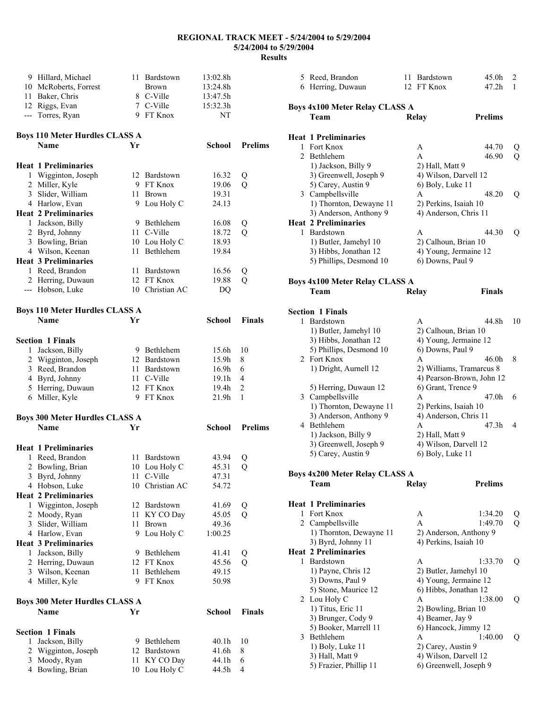|    | 9 Hillard, Michael                                 | 11   | Bardstown                   | 13:02.8h       |                |
|----|----------------------------------------------------|------|-----------------------------|----------------|----------------|
| 10 | McRoberts, Forrest                                 |      | Brown                       | 13:24.8h       |                |
|    | 11 Baker, Chris                                    |      | 8 C-Ville                   | 13:47.5h       |                |
|    | 12 Riggs, Evan                                     |      | 7 C-Ville                   | 15:32.3h       |                |
|    | --- Torres, Ryan                                   |      | 9 FT Knox                   | NΤ             |                |
|    | <b>Boys 110 Meter Hurdles CLASS A</b>              |      |                             |                |                |
|    | <b>Name</b>                                        | Yr   |                             | School         | <b>Prelims</b> |
|    |                                                    |      |                             |                |                |
|    | <b>Heat 1 Preliminaries</b><br>1 Wigginton, Joseph |      | 12 Bardstown                | 16.32          | Q              |
|    | 2 Miller, Kyle                                     |      | 9 FT Knox                   | 19.06          | Q              |
|    | 3 Slider, William                                  | 11 - | <b>Brown</b>                | 19.31          |                |
|    | 4 Harlow, Evan                                     |      | 9 Lou Holy C                | 24.13          |                |
|    | <b>Heat 2 Preliminaries</b>                        |      |                             |                |                |
|    | 1 Jackson, Billy                                   |      | 9 Bethlehem                 | 16.08          | Q              |
|    | 2 Byrd, Johnny                                     | 11   | C-Ville                     | 18.72          | $\overline{Q}$ |
|    | 3 Bowling, Brian                                   |      | 10 Lou Holy C               | 18.93          |                |
|    | 4 Wilson, Keenan                                   |      | 11 Bethlehem                | 19.84          |                |
|    | <b>Heat 3 Preliminaries</b>                        |      |                             |                |                |
|    | 1 Reed, Brandon                                    | 11   | Bardstown                   | 16.56          | Q              |
|    | 2 Herring, Duwaun                                  |      | 12 FT Knox                  | 19.88          | Q              |
|    | --- Hobson, Luke                                   |      | 10 Christian AC             | DQ             |                |
|    |                                                    |      |                             |                |                |
|    | <b>Boys 110 Meter Hurdles CLASS A</b>              |      |                             |                |                |
|    | <b>Name</b>                                        | Yr   |                             | <b>School</b>  | <b>Finals</b>  |
|    | <b>Section 1 Finals</b>                            |      |                             |                |                |
| 1  | Jackson, Billy                                     |      | 9 Bethlehem                 | 15.6h          | 10             |
|    | 2 Wigginton, Joseph                                |      | 12 Bardstown                | 15.9h          | 8              |
|    | 3 Reed, Brandon                                    |      | 11 Bardstown                | 16.9h          | 6              |
|    | 4 Byrd, Johnny                                     | 11   | C-Ville                     | 19.1h          | 4              |
|    | 5 Herring, Duwaun                                  |      | 12 FT Knox                  | 19.4h          | 2              |
|    | 6 Miller, Kyle                                     |      | 9 FT Knox                   | 21.9h          | 1              |
|    | <b>Boys 300 Meter Hurdles CLASS A</b>              |      |                             |                |                |
|    | <b>Name</b>                                        | Yr   |                             | <b>School</b>  | <b>Prelims</b> |
|    |                                                    |      |                             |                |                |
|    | <b>Heat 1 Preliminaries</b>                        |      |                             |                |                |
| 1  | Reed, Brandon                                      | 11 - | Bardstown                   | 43.94          | Q              |
| 2  | Bowling, Brian                                     |      | 10 Lou Holy C<br>11 C-Ville | 45.31<br>47.31 | Q              |
|    | 3 Byrd, Johnny<br>4 Hobson, Luke                   |      | 10 Christian AC             | 54.72          |                |
|    | <b>Heat 2 Preliminaries</b>                        |      |                             |                |                |
| 1  | Wigginton, Joseph                                  |      | 12 Bardstown                | 41.69          | Q              |
|    | 2 Moody, Ryan                                      | 11   | KY CO Day                   | 45.05          | Q              |
|    | 3 Slider, William                                  | 11   | <b>Brown</b>                | 49.36          |                |
|    | 4 Harlow, Evan                                     | 9.   | Lou Holy C                  | 1:00.25        |                |
|    | <b>Heat 3 Preliminaries</b>                        |      |                             |                |                |
|    | 1 Jackson, Billy                                   |      | 9 Bethlehem                 | 41.41          | Q              |
|    | 2 Herring, Duwaun                                  |      | 12 FT Knox                  | 45.56          | Q              |
|    | 3 Wilson, Keenan                                   | 11   | Bethlehem                   | 49.15          |                |
|    | 4 Miller, Kyle                                     | 9.   | FT Knox                     | 50.98          |                |
|    |                                                    |      |                             |                |                |
|    | <b>Boys 300 Meter Hurdles CLASS A</b><br>Name      | Yr   |                             | <b>School</b>  | <b>Finals</b>  |
|    |                                                    |      |                             |                |                |
|    | <b>Section 1 Finals</b>                            |      |                             |                |                |
| 1  | Jackson, Billy                                     |      | 9 Bethlehem                 | 40.1h          | 10             |
| 2  | Wigginton, Joseph                                  | 12   | Bardstown                   | 41.6h          | 8              |
| 3  | Moody, Ryan                                        | 11   | KY CO Day                   | 44.1h          | 6              |
|    | 4 Bowling, Brian                                   |      | 10 Lou Holy C               | 44.5h          | 4              |

| 5 Reed, Brandon                                   | 11 Bardstown                                  | 45.0h             | 2  |
|---------------------------------------------------|-----------------------------------------------|-------------------|----|
| 6 Herring, Duwaun                                 | 12 FT Knox                                    | 47.2 <sub>h</sub> | 1  |
| <b>Boys 4x100 Meter Relay CLASS A</b>             |                                               |                   |    |
| Team                                              | <b>Relay</b>                                  | <b>Prelims</b>    |    |
| <b>Heat 1 Preliminaries</b>                       |                                               |                   |    |
| 1 Fort Knox                                       | A                                             | 44.70             | Q  |
| 2 Bethlehem                                       | A                                             | 46.90             | O  |
| 1) Jackson, Billy 9                               | 2) Hall, Matt 9                               |                   |    |
| 3) Greenwell, Joseph 9                            | 4) Wilson, Darvell 12                         |                   |    |
| 5) Carey, Austin 9                                | 6) Boly, Luke 11                              |                   |    |
| 3 Campbellsville<br>1) Thornton, Dewayne 11       | A<br>2) Perkins, Isaiah 10                    | 48.20             | Q  |
| 3) Anderson, Anthony 9                            | 4) Anderson, Chris 11                         |                   |    |
| <b>Heat 2 Preliminaries</b>                       |                                               |                   |    |
| 1 Bardstown                                       | A                                             | 44.30             | Q  |
| 1) Butler, Jamehyl 10                             | 2) Calhoun, Brian 10                          |                   |    |
| 3) Hibbs, Jonathan 12                             | 4) Young, Jermaine 12                         |                   |    |
| 5) Phillips, Desmond 10                           | 6) Downs, Paul 9                              |                   |    |
| <b>Boys 4x100 Meter Relay CLASS A</b>             |                                               |                   |    |
| Team                                              | <b>Relay</b>                                  | <b>Finals</b>     |    |
|                                                   |                                               |                   |    |
| <b>Section 1 Finals</b>                           |                                               |                   |    |
| 1 Bardstown                                       | A                                             | 44.8h             | 10 |
| 1) Butler, Jamehyl 10<br>3) Hibbs, Jonathan 12    | 2) Calhoun, Brian 10<br>4) Young, Jermaine 12 |                   |    |
| 5) Phillips, Desmond 10                           | 6) Downs, Paul 9                              |                   |    |
| 2 Fort Knox                                       | A                                             | 46.0h             | 8  |
| 1) Dright, Aurnell 12                             | 2) Williams, Tramarcus 8                      |                   |    |
|                                                   | 4) Pearson-Brown, John 12                     |                   |    |
| 5) Herring, Duwaun 12                             | 6) Grant, Trence 9                            |                   |    |
| 3 Campbellsville                                  | A                                             | 47.0h             | 6  |
| 1) Thornton, Dewayne 11<br>3) Anderson, Anthony 9 | 2) Perkins, Isaiah 10                         |                   |    |
| 4 Bethlehem                                       | 4) Anderson, Chris 11<br>A                    | 47.3h             | 4  |
| 1) Jackson, Billy 9                               | 2) Hall, Matt 9                               |                   |    |
| 3) Greenwell, Joseph 9                            | 4) Wilson, Darvell 12                         |                   |    |
| 5) Carey, Austin 9                                | 6) Boly, Luke 11                              |                   |    |
|                                                   |                                               |                   |    |
| Boys 4x200 Meter Relay CLASS A<br>Team            | Relay                                         | <b>Prelims</b>    |    |
|                                                   |                                               |                   |    |
| <b>Heat 1 Preliminaries</b>                       |                                               |                   |    |
| 1 Fort Knox                                       | A                                             | 1:34.20           | Q  |
| 2 Campbellsville                                  | A                                             | 1:49.70           | Q  |
| 1) Thornton, Dewayne 11                           | 2) Anderson, Anthony 9                        |                   |    |
| 3) Byrd, Johnny 11<br><b>Heat 2 Preliminaries</b> | 4) Perkins, Isaiah 10                         |                   |    |
| 1 Bardstown                                       | A                                             | 1:33.70           | Q  |
| 1) Payne, Chris 12                                | 2) Butler, Jamehyl 10                         |                   |    |
| 3) Downs, Paul 9                                  | 4) Young, Jermaine 12                         |                   |    |
| 5) Stone, Maurice 12                              | 6) Hibbs, Jonathan 12                         |                   |    |
| 2 Lou Holy C                                      | A                                             | 1:38.00           | Q  |
| 1) Titus, Eric 11                                 | 2) Bowling, Brian 10                          |                   |    |
| 3) Brunger, Cody 9                                | 4) Beamer, Jay 9                              |                   |    |
| 5) Booker, Marrell 11<br>3 Bethlehem              | 6) Hancock, Jimmy 12                          | 1:40.00           |    |
| 1) Boly, Luke 11                                  | A<br>2) Carey, Austin 9                       |                   | Q  |
| 3) Hall, Matt 9                                   | 4) Wilson, Darvell 12                         |                   |    |
| 5) Frazier, Phillip 11                            | 6) Greenwell, Joseph 9                        |                   |    |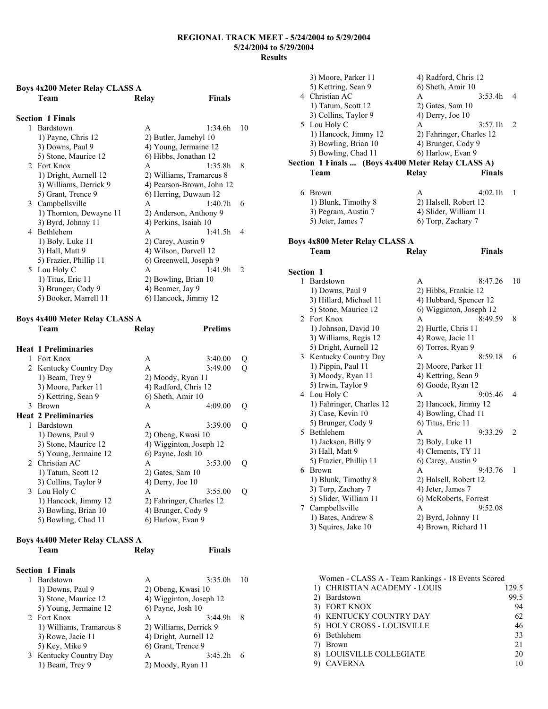## **Boys 4x200 Meter Relay CLASS A Team Relay Finals**

|   | <b>Section 1 Finals</b> |                           |                               |  |
|---|-------------------------|---------------------------|-------------------------------|--|
| 1 | Bardstown               | 1:34.6h<br>A              | 10                            |  |
|   | 1) Payne, Chris 12      | 2) Butler, Jamehyl 10     |                               |  |
|   | 3) Downs, Paul 9        | 4) Young, Jermaine 12     |                               |  |
|   | 5) Stone, Maurice 12    | 6) Hibbs, Jonathan 12     |                               |  |
|   | 2 Fort Knox             | 1:35.8h<br>$\mathsf{A}$   | 8                             |  |
|   | 1) Dright, Aurnell 12   | 2) Williams, Tramarcus 8  |                               |  |
|   | 3) Williams, Derrick 9  | 4) Pearson-Brown, John 12 |                               |  |
|   | 5) Grant, Trence 9      | 6) Herring, Duwaun 12     |                               |  |
|   | 3 Campbellsville        | 1:40.7h<br>A              | 6                             |  |
|   | 1) Thornton, Dewayne 11 | 2) Anderson, Anthony 9    |                               |  |
|   | 3) Byrd, Johnny 11      | 4) Perkins, Isaiah 10     |                               |  |
|   | 4 Bethlehem             | 1:41.5h<br>A              | 4                             |  |
|   | 1) Boly, Luke 11        | 2) Carey, Austin 9        |                               |  |
|   | 3) Hall, Matt 9         | 4) Wilson, Darvell 12     |                               |  |
|   | 5) Frazier, Phillip 11  | 6) Greenwell, Joseph 9    |                               |  |
|   | 5 Lou Holy C            | 1:41.9h<br>A              | $\mathfrak{D}_{\mathfrak{p}}$ |  |
|   | 1) Titus, Eric 11       | 2) Bowling, Brian 10      |                               |  |
|   | 3) Brunger, Cody 9      | 4) Beamer, Jay 9          |                               |  |
|   | 5) Booker, Marrell 11   | 6) Hancock, Jimmy 12      |                               |  |

#### **Boys 4x400 Meter Relay CLASS A**

|   | Team                        | Relay                | Prelims                  |   |
|---|-----------------------------|----------------------|--------------------------|---|
|   | <b>Heat 1 Preliminaries</b> |                      |                          |   |
| 1 | Fort Knox                   | A                    | 3:40.00                  | Q |
|   | 2 Kentucky Country Day      | A                    | 3:49.00                  | О |
|   | 1) Beam, Trey 9             | 2) Moody, Ryan 11    |                          |   |
|   | 3) Moore, Parker 11         | 4) Radford, Chris 12 |                          |   |
|   | 5) Kettring, Sean 9         | 6) Sheth, Amir 10    |                          |   |
| 3 | <b>Brown</b>                | A                    | 4:09.00                  | О |
|   | <b>Heat 2 Preliminaries</b> |                      |                          |   |
| 1 | Bardstown                   | A                    | 3:39.00                  | Q |
|   | 1) Downs, Paul 9            | 2) Obeng, Kwasi 10   |                          |   |
|   | 3) Stone, Maurice 12        |                      | 4) Wigginton, Joseph 12  |   |
|   | 5) Young, Jermaine 12       | 6) Payne, Josh 10    |                          |   |
|   | 2 Christian AC              | A                    | 3:53.00                  | O |
|   | 1) Tatum, Scott 12          | 2) Gates, Sam 10     |                          |   |
|   | 3) Collins, Taylor 9        | $(4)$ Derry, Joe 10  |                          |   |
|   | 3 Lou Holy C                | A                    | 3:55.00                  | О |
|   | 1) Hancock, Jimmy 12        |                      | 2) Fahringer, Charles 12 |   |
|   | 3) Bowling, Brian 10        | 4) Brunger, Cody 9   |                          |   |
|   | 5) Bowling, Chad 11         | 6) Harlow, Evan 9    |                          |   |
|   |                             |                      |                          |   |

# **Boys 4x400 Meter Relay CLASS A**

| <b>Section 1 Finals</b>  |                   |                         |    |
|--------------------------|-------------------|-------------------------|----|
| Bardstown                | A                 | 3:35.0h                 | 10 |
| 1) Downs, Paul 9         |                   | 2) Obeng, Kwasi 10      |    |
| 3) Stone, Maurice 12     |                   | 4) Wigginton, Joseph 12 |    |
| 5) Young, Jermaine 12    | 6) Payne, Josh 10 |                         |    |
| 2 Fort Knox              | A                 | 3:44.9h                 | 8  |
| 1) Williams, Tramarcus 8 |                   | 2) Williams, Derrick 9  |    |
| 3) Rowe, Jacie 11        |                   | 4) Dright, Aurnell 12   |    |
| 5) Key, Mike 9           |                   | 6) Grant, Trence 9      |    |
| 3 Kentucky Country Day   | A                 | 3:45.2h                 |    |
| 1) Beam, Trey 9          |                   | 2) Moody, Ryan 11       |    |

**Finals** 

|                  | 3) Moore, Parker 11<br>5) Kettring, Sean 9<br>4 Christian AC<br>1) Tatum, Scott 12                        | 4) Radford, Chris 12<br>6) Sheth, Amir 10<br>A<br>2) Gates, Sam 10                           | 3:53.4h | 4            |
|------------------|-----------------------------------------------------------------------------------------------------------|----------------------------------------------------------------------------------------------|---------|--------------|
| 5                | 3) Collins, Taylor 9<br>Lou Holy C<br>1) Hancock, Jimmy 12<br>3) Bowling, Brian 10<br>5) Bowling, Chad 11 | 4) Derry, Joe 10<br>A<br>2) Fahringer, Charles 12<br>4) Brunger, Cody 9<br>6) Harlow, Evan 9 | 3:57.1h | 2            |
|                  | Section 1 Finals  (Boys 4x400 Meter Relay CLASS A)                                                        |                                                                                              |         |              |
|                  | Team                                                                                                      | Relay                                                                                        | Finals  |              |
|                  |                                                                                                           |                                                                                              |         |              |
| 6                | Brown                                                                                                     | A                                                                                            | 4:02.1h | 1            |
|                  | 1) Blunk, Timothy 8                                                                                       | 2) Halsell, Robert 12                                                                        |         |              |
|                  | 3) Pegram, Austin 7                                                                                       | 4) Slider, William 11                                                                        |         |              |
|                  | 5) Jeter, James 7                                                                                         | 6) Torp, Zachary 7                                                                           |         |              |
|                  | <b>Boys 4x800 Meter Relay CLASS A</b>                                                                     |                                                                                              |         |              |
|                  | Team                                                                                                      | Relay                                                                                        | Finals  |              |
|                  |                                                                                                           |                                                                                              |         |              |
| <b>Section 1</b> |                                                                                                           |                                                                                              |         |              |
| 1                | Bardstown                                                                                                 | A                                                                                            | 8:47.26 | 10           |
|                  | 1) Downs, Paul 9                                                                                          | 2) Hibbs, Frankie 12                                                                         |         |              |
|                  | 3) Hillard, Michael 11                                                                                    | 4) Hubbard, Spencer 12                                                                       |         |              |
|                  | 5) Stone, Maurice 12                                                                                      | 6) Wigginton, Joseph 12                                                                      |         |              |
| 2                | <b>Fort Knox</b>                                                                                          | A                                                                                            | 8:49.59 | 8            |
|                  | 1) Johnson, David 10                                                                                      | 2) Hurtle, Chris 11                                                                          |         |              |
|                  | 3) Williams, Regis 12                                                                                     | 4) Rowe, Jacie 11                                                                            |         |              |
|                  | 5) Dright, Aurnell 12                                                                                     | 6) Torres, Ryan 9                                                                            |         |              |
|                  | 3 Kentucky Country Day                                                                                    | A                                                                                            | 8:59.18 | 6            |
|                  | 1) Pippin, Paul 11                                                                                        | 2) Moore, Parker 11                                                                          |         |              |
|                  | 3) Moody, Ryan 11                                                                                         | 4) Kettring, Sean 9                                                                          |         |              |
|                  | 5) Irwin, Taylor 9                                                                                        | 6) Goode, Ryan 12                                                                            |         |              |
|                  | 4 Lou Holy C                                                                                              | A                                                                                            | 9:05.46 | 4            |
|                  | 1) Fahringer, Charles 12                                                                                  | 2) Hancock, Jimmy 12                                                                         |         |              |
|                  | 3) Case, Kevin 10                                                                                         | 4) Bowling, Chad 11                                                                          |         |              |
|                  | 5) Brunger, Cody 9                                                                                        | 6) Titus, Eric 11                                                                            |         |              |
| 5.               | Bethlehem                                                                                                 | A                                                                                            | 9:33.29 | 2            |
|                  | 1) Jackson, Billy 9                                                                                       | 2) Boly, Luke 11                                                                             |         |              |
|                  | 3) Hall, Matt 9                                                                                           | 4) Clements, TY 11                                                                           |         |              |
|                  | 5) Frazier, Phillip 11                                                                                    | 6) Carey, Austin 9                                                                           |         |              |
| 6                | <b>Brown</b>                                                                                              | A                                                                                            | 9:43.76 | $\mathbf{1}$ |
|                  | 1) Blunk, Timothy 8                                                                                       | 2) Halsell, Robert 12                                                                        |         |              |
|                  | 3) Torp, Zachary 7                                                                                        | 4) Jeter, James 7                                                                            |         |              |
|                  | 5) Slider, William 11                                                                                     | 6) McRoberts, Forrest                                                                        |         |              |
| 7                | Campbellsville                                                                                            | A                                                                                            | 9:52.08 |              |
|                  | 1) Bates, Andrew 8                                                                                        | 2) Byrd, Johnny 11                                                                           |         |              |
|                  | 3) Squires, Jake 10                                                                                       | 4) Brown, Richard 11                                                                         |         |              |
|                  |                                                                                                           |                                                                                              |         |              |
|                  |                                                                                                           |                                                                                              |         |              |
|                  |                                                                                                           |                                                                                              |         |              |
|                  |                                                                                                           |                                                                                              |         |              |

| Women - CLASS A - Team Rankings - 18 Events Scored |       |
|----------------------------------------------------|-------|
| <b>CHRISTIAN ACADEMY - LOUIS</b>                   | 129.5 |
| Bardstown                                          | 99.5  |
| 3) FORT KNOX                                       | 94    |
| KENTUCKY COUNTRY DAY                               | 62    |
| 5) HOLY CROSS - LOUISVILLE                         | 46    |
| 6) Bethlehem                                       | 33    |
| <b>Brown</b>                                       | 21    |
| 8) LOUISVILLE COLLEGIATE                           | 20    |
| <b>CAVERNA</b>                                     | 10    |